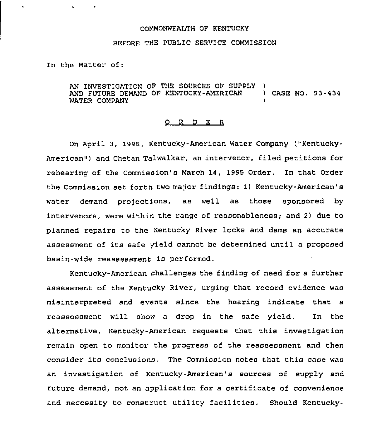## COMMONWEALTH OF KENTUCKY

## BEFORE THE PUBLIC SERVICE COMMISSION

In the Matter of:

AN INVESTIGATION OF THE SOURCES OF SUPPLY AND FUTURE DEMAND OF KENTUCKY-AMERICAN ) CASE NO. 93-434 WATER COMPANY

## 0 R <sup>D</sup> E <sup>R</sup>

On April 3, 1995, Kentucky-American Water Company ("Kentucky-American") and Chetan Talwalkar, an intervenor, filed petitions for rehearing of the Commission's March 14, 1995 Order. In that Order the Commission set forth two major findings: 1) Kentucky-American's water demand projections, as well as those sponsored by intervenors, were within the range of reasonableness; and 2) due to planned repairs to the Kentucky River locks and dame an accurate assessment of its safe yield cannot be determined until a proposed basin-wide reassessment is performed.

Kentucky-American challenges the finding of need for a further assessment of the Kentucky River, urging that record evidence was misinterpreted and events since the hearing indicate that a reassessment will show a drop in the safe yield. In the alternative, Kentucky-American requests that this investigation remain open to monitor the progress of the reassessment and then consider its conclusions. The Commission notes that this case was an investigation of Kentucky-American'8 sources of supply and future demand, not an application for a certificate of convenience and necessity to construct utility facilities. Should Kentucky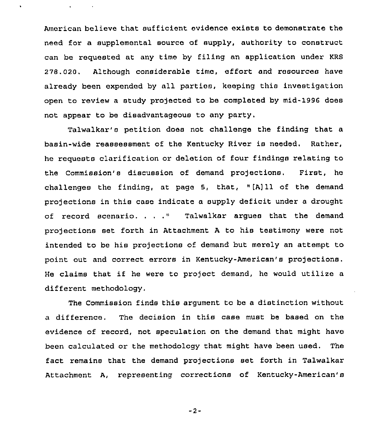American believe that sufficient evidence exists to demonstrate the need for a supplemental source of supply, authority to construct can be requested at any time by filing an application under KRS 278.020. Although considerable time, effort and resources have already been expended by all parties, keeping this investigation open to review a study projected to be completed by mid-1996 does not appear to be disadvantageous to any party.

Talwalkar's petition does not challenge the finding that a basin-wide reassessment of the Kentucky River is needed. Rather, he requests clarification or deletion of four findings relating to the Commission's discussion of demand projections. First, he challenges the finding, at page 5, that, "[A]11 of the demand pro)ections in this case indicate a supply deficit under <sup>a</sup> drought of record scenario. . . ." Talwalkar argues that the demand projections set forth in Attachment <sup>A</sup> to his testimony were not intended to be his pro)ectlons of demand but merely an attempt to point out and correct errors in Kentucky-American's projections. He claims that if he were to project demand, he would utilize a different methodology.

The Commission finds this argument to be a distinction without a difference. The decision in this case must be based on the evidence of record, not speculation on the demand that might have been calculated or the methodology that might have been used. The fact remains that the demand projections set forth in Talwalkar Attachment A, representing corrections of Kentucky-American's

-2-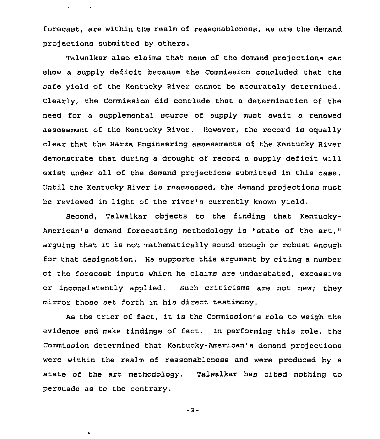forecast, are within the realm of reasonableness, as are the demand projections submitted by others.

 $\mathbf{v} = \mathbf{v} \times \mathbf{v}$  .  $\mathbf{v} = \mathbf{v} \times \mathbf{v}$ 

 $\bullet$ 

Talwalkar also claims that none of the demand projections can show a supply deficit because the Commission concluded that the safe yield of the Kentucky River cannot be accurately determined, Clearly, the Commission did conclude that a determination of the need for a supplemental source of supply must await a renewed assessment of the Kentucky River. However, the record is equally clear that the Harza Engineering assessments of the Kentucky River demonstrate that during a drought of record a supply deficit will exist under all of the demand projections submitted in this case. Until the Kentucky River is reassessed, the demand projections must be reviewed in light of the river's currently known yield.

Second, Talwalkar objects to the finding that Kentucky-American's demand forecasting methodology is "state of the art," arguing that it is not mathematically sound enough or robust enough for that designation. He supports this argument by citing <sup>a</sup> number of the forecast inputs which he claims are understated, excessive or inconsistently applied, Such criticisms are not new; they mirror those set forth in hie direct testimony.

As the trier of fact, it is the Commission's role to weigh the evidence and make findings of fact. In performing this role, the Commission determined that Kentucky-American' demand projections were within the realm of reasonableness and were produced by a state of the art methodology, Talwalkar has cited nothing to persuade as to the contrary.

 $-3-$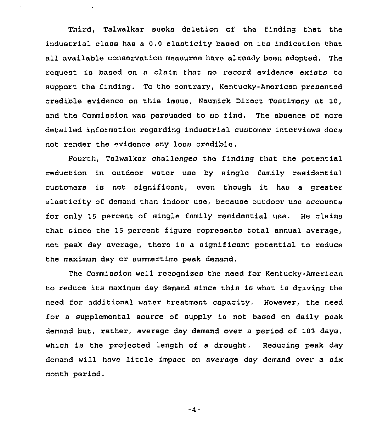Third, Talwalkar seeks deletion of the finding that the industrial class has <sup>a</sup> 0.0 elasticity based on its indication that all available consorvation moasuros have already boon adopted, The request is basod on a claim that no record evidence exists to support the finding. To tho contrary, Kentucky-American presented credible evidence on this issue, Naumick Direct Testimony at 10, and the Commission was persuaded to ao find. Tho absence of more detailed information rogarding industrial customer interviews does not render the evidonco any loss credible.

Fourth, Talwalkar challenges tho finding that the potential reduction in outdoor water uso by single family rosidential customers is not significant, oven though it has <sup>a</sup> greator elasticity of demand than indoor use, because outdoor use accounts for only 15 percent of single family residential use. He claims that since the 15 percent figure represents total annual average, not peak day avarage, there is a significant potential to reduce the maximum day or summortime peak demand.

The Commission well recognizes the need for Kentucky-American to reduce its maximum day demand sinco this is what is driving the need for additional water treatment capacity. However, the need for a supplemental source of supply is not based on daily peak demand but, rather, average day demand over a period of 183 days, which is the projected length of a drought. Reducing peak day demand will have little impact on average day demand over a six month period.

 $-4-$